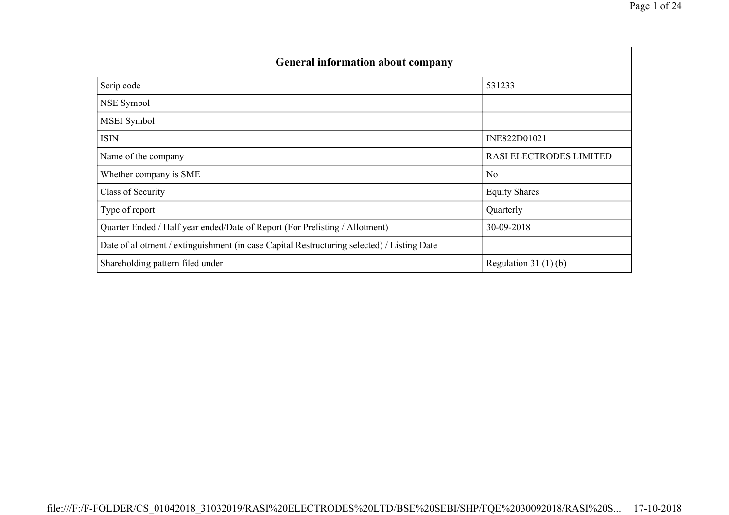| <b>General information about company</b>                                                   |                         |
|--------------------------------------------------------------------------------------------|-------------------------|
| Scrip code                                                                                 | 531233                  |
| NSE Symbol                                                                                 |                         |
| MSEI Symbol                                                                                |                         |
| <b>ISIN</b>                                                                                | INE822D01021            |
| Name of the company                                                                        | RASI ELECTRODES LIMITED |
| Whether company is SME                                                                     | N <sub>0</sub>          |
| Class of Security                                                                          | <b>Equity Shares</b>    |
| Type of report                                                                             | Quarterly               |
| Quarter Ended / Half year ended/Date of Report (For Prelisting / Allotment)                | 30-09-2018              |
| Date of allotment / extinguishment (in case Capital Restructuring selected) / Listing Date |                         |
| Shareholding pattern filed under                                                           | Regulation 31 $(1)(b)$  |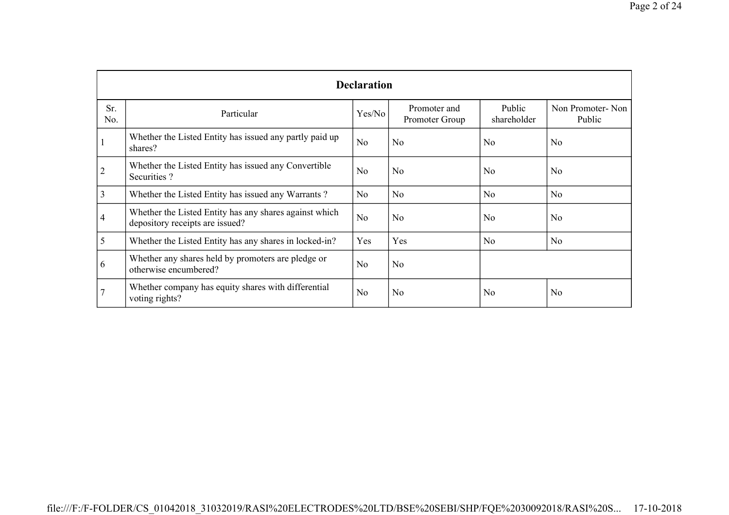|                | <b>Declaration</b>                                                                        |                |                                |                       |                            |  |  |  |  |  |  |
|----------------|-------------------------------------------------------------------------------------------|----------------|--------------------------------|-----------------------|----------------------------|--|--|--|--|--|--|
| Sr.<br>No.     | Particular                                                                                | Yes/No         | Promoter and<br>Promoter Group | Public<br>shareholder | Non Promoter-Non<br>Public |  |  |  |  |  |  |
|                | Whether the Listed Entity has issued any partly paid up<br>shares?                        | N <sub>0</sub> | N <sub>o</sub>                 | N <sub>0</sub>        | N <sub>o</sub>             |  |  |  |  |  |  |
| $\overline{c}$ | Whether the Listed Entity has issued any Convertible<br>Securities?                       | N <sub>o</sub> | N <sub>o</sub>                 | N <sub>0</sub>        | N <sub>o</sub>             |  |  |  |  |  |  |
| 3              | Whether the Listed Entity has issued any Warrants?                                        | No.            | No.                            | N <sub>o</sub>        | N <sub>o</sub>             |  |  |  |  |  |  |
| 4              | Whether the Listed Entity has any shares against which<br>depository receipts are issued? | N <sub>0</sub> | N <sub>o</sub>                 | N <sub>0</sub>        | N <sub>o</sub>             |  |  |  |  |  |  |
| 5              | Whether the Listed Entity has any shares in locked-in?                                    | Yes            | Yes                            | N <sub>o</sub>        | N <sub>o</sub>             |  |  |  |  |  |  |
| 6              | Whether any shares held by promoters are pledge or<br>otherwise encumbered?               | N <sub>o</sub> | N <sub>o</sub>                 |                       |                            |  |  |  |  |  |  |
|                | Whether company has equity shares with differential<br>voting rights?                     | N <sub>o</sub> | N <sub>o</sub>                 | N <sub>0</sub>        | N <sub>o</sub>             |  |  |  |  |  |  |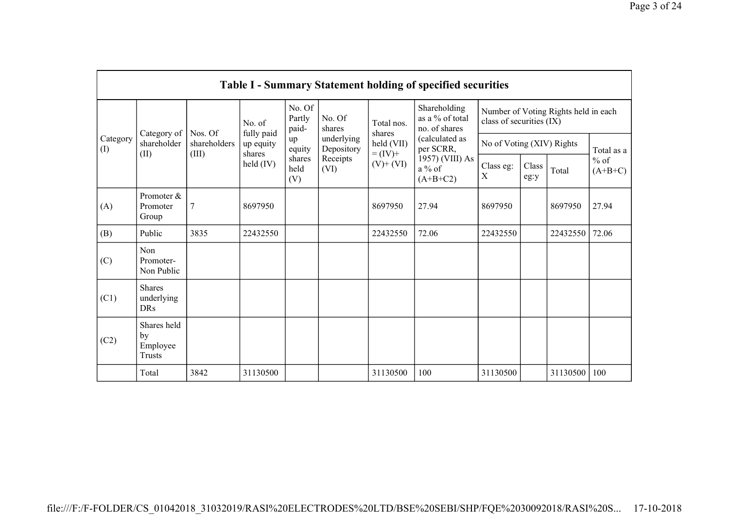|                 |                                                |                       |                      |                           |                                              |                                                                | <b>Table I - Summary Statement holding of specified securities</b>       |                                                                  |               |          |                                   |
|-----------------|------------------------------------------------|-----------------------|----------------------|---------------------------|----------------------------------------------|----------------------------------------------------------------|--------------------------------------------------------------------------|------------------------------------------------------------------|---------------|----------|-----------------------------------|
|                 |                                                | Nos. Of               | No. of<br>fully paid | No. Of<br>Partly<br>paid- | No. Of<br>shares                             | Shareholding<br>as a % of total<br>Total nos.<br>no. of shares |                                                                          | Number of Voting Rights held in each<br>class of securities (IX) |               |          |                                   |
| Category<br>(1) | Category of<br>shareholder<br>(II)             | shareholders<br>(III) | up equity<br>shares  | up<br>equity              | underlying<br>Depository<br>Receipts<br>(VI) | shares<br>held (VII)<br>$= (IV) +$<br>$(V)$ + $(VI)$           | (calculated as<br>per SCRR,<br>1957) (VIII) As<br>$a\%$ of<br>$(A+B+C2)$ | No of Voting (XIV) Rights                                        |               |          | Total as a<br>$%$ of<br>$(A+B+C)$ |
|                 |                                                |                       | $\text{held (IV)}$   | shares<br>held<br>(V)     |                                              |                                                                |                                                                          | Class eg:<br>X                                                   | Class<br>eg:y | Total    |                                   |
| (A)             | Promoter &<br>Promoter<br>Group                | $\overline{7}$        | 8697950              |                           |                                              | 8697950                                                        | 27.94                                                                    | 8697950                                                          |               | 8697950  | 27.94                             |
| (B)             | Public                                         | 3835                  | 22432550             |                           |                                              | 22432550                                                       | 72.06                                                                    | 22432550                                                         |               | 22432550 | 72.06                             |
| (C)             | Non<br>Promoter-<br>Non Public                 |                       |                      |                           |                                              |                                                                |                                                                          |                                                                  |               |          |                                   |
| (C1)            | <b>Shares</b><br>underlying<br><b>DRs</b>      |                       |                      |                           |                                              |                                                                |                                                                          |                                                                  |               |          |                                   |
| (C2)            | Shares held<br>by<br>Employee<br><b>Trusts</b> |                       |                      |                           |                                              |                                                                |                                                                          |                                                                  |               |          |                                   |
|                 | Total                                          | 3842                  | 31130500             |                           |                                              | 31130500                                                       | 100                                                                      | 31130500                                                         |               | 31130500 | 100                               |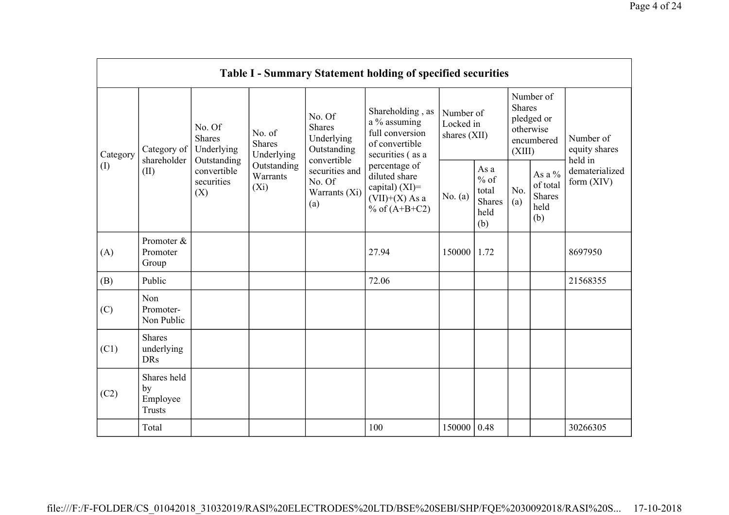|                 |                                                |                                               |                                       |                                                                     | Table I - Summary Statement holding of specified securities                                |                                        |                                                         |                         |                                                       |                                         |
|-----------------|------------------------------------------------|-----------------------------------------------|---------------------------------------|---------------------------------------------------------------------|--------------------------------------------------------------------------------------------|----------------------------------------|---------------------------------------------------------|-------------------------|-------------------------------------------------------|-----------------------------------------|
| Category<br>(I) | Category of<br>shareholder                     | No. Of<br>Shares<br>Underlying<br>Outstanding | No. of<br><b>Shares</b><br>Underlying | No. Of<br><b>Shares</b><br>Underlying<br>Outstanding<br>convertible | Shareholding, as<br>a % assuming<br>full conversion<br>of convertible<br>securities (as a  | Number of<br>Locked in<br>shares (XII) |                                                         | <b>Shares</b><br>(XIII) | Number of<br>pledged or<br>otherwise<br>encumbered    | Number of<br>equity shares              |
|                 | (II)                                           | convertible<br>securities<br>(X)              | Outstanding<br>Warrants<br>$(X_i)$    | securities and<br>No. Of<br>Warrants (Xi)<br>(a)                    | percentage of<br>diluted share<br>capital) $(XI)$ =<br>$(VII)+(X)$ As a<br>% of $(A+B+C2)$ | No. $(a)$                              | As a<br>$%$ of<br>total<br><b>Shares</b><br>held<br>(b) | No.<br>(a)              | As a $\%$<br>of total<br><b>Shares</b><br>held<br>(b) | held in<br>dematerialized<br>form (XIV) |
| (A)             | Promoter &<br>Promoter<br>Group                |                                               |                                       |                                                                     | 27.94                                                                                      | 150000                                 | 1.72                                                    |                         |                                                       | 8697950                                 |
| (B)             | Public                                         |                                               |                                       |                                                                     | 72.06                                                                                      |                                        |                                                         |                         |                                                       | 21568355                                |
| (C)             | Non<br>Promoter-<br>Non Public                 |                                               |                                       |                                                                     |                                                                                            |                                        |                                                         |                         |                                                       |                                         |
| (C1)            | <b>Shares</b><br>underlying<br><b>DRs</b>      |                                               |                                       |                                                                     |                                                                                            |                                        |                                                         |                         |                                                       |                                         |
| (C2)            | Shares held<br>by<br>Employee<br><b>Trusts</b> |                                               |                                       |                                                                     |                                                                                            |                                        |                                                         |                         |                                                       |                                         |
|                 | Total                                          |                                               |                                       |                                                                     | 100                                                                                        | 150000                                 | 0.48                                                    |                         |                                                       | 30266305                                |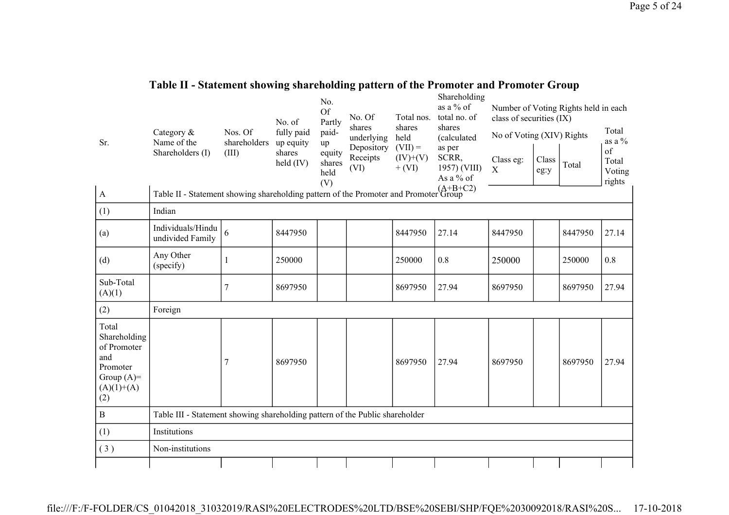| Table II - Statement showing shareholding pattern of the Promoter and Promoter Group |  |              |  |
|--------------------------------------------------------------------------------------|--|--------------|--|
|                                                                                      |  | Choroholdina |  |

| Sr.                                                                                            | Category $\&$<br>Name of the                                                         | Nos. Of<br>shareholders | No. of<br>fully paid<br>up equity | No.<br><b>Of</b><br>Partly<br>paid-<br>up | No. Of<br>shares<br>underlying | Total nos.<br>shares<br>held<br>$(VII) =$ | Snarenolumg<br>as a % of<br>total no. of<br>shares<br>(calculated | class of securities (IX)<br>No of Voting (XIV) Rights |               | Number of Voting Rights held in each | Total<br>as a $\%$              |
|------------------------------------------------------------------------------------------------|--------------------------------------------------------------------------------------|-------------------------|-----------------------------------|-------------------------------------------|--------------------------------|-------------------------------------------|-------------------------------------------------------------------|-------------------------------------------------------|---------------|--------------------------------------|---------------------------------|
|                                                                                                | Shareholders (I)                                                                     | (III)                   | shares<br>held $(IV)$             | equity<br>shares<br>held<br>(V)           | Depository<br>Receipts<br>(VI) | $(IV)+(V)$<br>$+ (VI)$                    | as per<br>SCRR,<br>1957) (VIII)<br>As a % of                      | Class eg:<br>$\mathbf X$                              | Class<br>eg:y | Total                                | of<br>Total<br>Voting<br>rights |
| $\mathbf{A}$                                                                                   | Table II - Statement showing shareholding pattern of the Promoter and Promoter Group |                         |                                   |                                           |                                |                                           |                                                                   |                                                       |               |                                      |                                 |
| (1)                                                                                            | Indian                                                                               |                         |                                   |                                           |                                |                                           |                                                                   |                                                       |               |                                      |                                 |
| (a)                                                                                            | Individuals/Hindu<br>undivided Family                                                | 6                       | 8447950                           |                                           |                                | 8447950                                   | 27.14                                                             | 8447950                                               |               | 8447950                              | 27.14                           |
| (d)                                                                                            | Any Other<br>(specify)                                                               | 1                       | 250000                            |                                           |                                | 250000                                    | 0.8                                                               | 250000                                                |               | 250000                               | 0.8                             |
| Sub-Total<br>(A)(1)                                                                            |                                                                                      | $\overline{7}$          | 8697950                           |                                           |                                | 8697950                                   | 27.94                                                             | 8697950                                               |               | 8697950                              | 27.94                           |
| (2)                                                                                            | Foreign                                                                              |                         |                                   |                                           |                                |                                           |                                                                   |                                                       |               |                                      |                                 |
| Total<br>Shareholding<br>of Promoter<br>and<br>Promoter<br>Group $(A)=$<br>$(A)(1)+(A)$<br>(2) |                                                                                      | 7                       | 8697950                           |                                           |                                | 8697950                                   | 27.94                                                             | 8697950                                               |               | 8697950                              | 27.94                           |
| $\, {\bf B}$                                                                                   | Table III - Statement showing shareholding pattern of the Public shareholder         |                         |                                   |                                           |                                |                                           |                                                                   |                                                       |               |                                      |                                 |
| (1)                                                                                            | Institutions                                                                         |                         |                                   |                                           |                                |                                           |                                                                   |                                                       |               |                                      |                                 |
| (3)                                                                                            | Non-institutions                                                                     |                         |                                   |                                           |                                |                                           |                                                                   |                                                       |               |                                      |                                 |
|                                                                                                |                                                                                      |                         |                                   |                                           |                                |                                           |                                                                   |                                                       |               |                                      |                                 |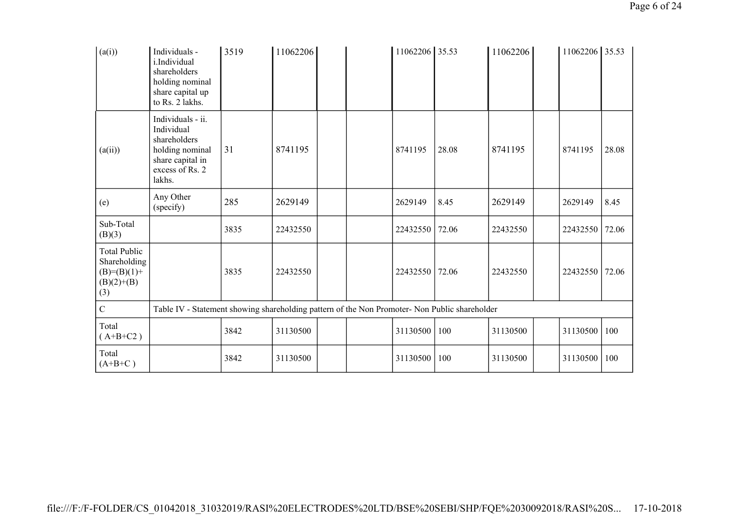| (a(i))                                                                        | Individuals -<br>i.Individual<br>shareholders<br>holding nominal<br>share capital up<br>to Rs. 2 lakhs.             | 3519 | 11062206 |  | 11062206 35.53 |       | 11062206 | 11062206 35.53 |       |
|-------------------------------------------------------------------------------|---------------------------------------------------------------------------------------------------------------------|------|----------|--|----------------|-------|----------|----------------|-------|
| (a(ii))                                                                       | Individuals - ii.<br>Individual<br>shareholders<br>holding nominal<br>share capital in<br>excess of Rs. 2<br>lakhs. | 31   | 8741195  |  | 8741195        | 28.08 | 8741195  | 8741195        | 28.08 |
| (e)                                                                           | Any Other<br>(specify)                                                                                              | 285  | 2629149  |  | 2629149        | 8.45  | 2629149  | 2629149        | 8.45  |
| Sub-Total<br>(B)(3)                                                           |                                                                                                                     | 3835 | 22432550 |  | 22432550       | 72.06 | 22432550 | 22432550       | 72.06 |
| <b>Total Public</b><br>Shareholding<br>$(B)= (B)(1) +$<br>$(B)(2)+(B)$<br>(3) |                                                                                                                     | 3835 | 22432550 |  | 22432550       | 72.06 | 22432550 | 22432550       | 72.06 |
| $\overline{C}$                                                                | Table IV - Statement showing shareholding pattern of the Non Promoter- Non Public shareholder                       |      |          |  |                |       |          |                |       |
| Total<br>$(A+B+C2)$                                                           |                                                                                                                     | 3842 | 31130500 |  | 31130500       | 100   | 31130500 | 31130500       | 100   |
| Total<br>$(A+B+C)$                                                            |                                                                                                                     | 3842 | 31130500 |  | 31130500       | 100   | 31130500 | 31130500       | 100   |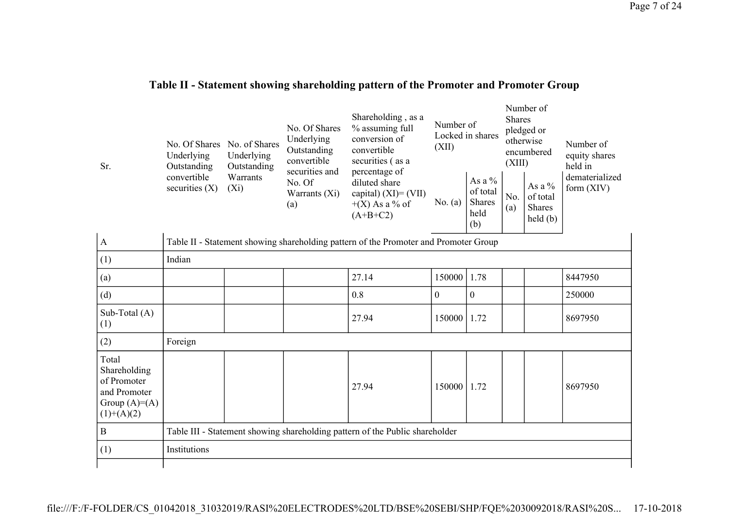## **Table II - Statement showing shareholding pattern of the Promoter and Promoter Group**

| Sr.                                                                                    | No. Of Shares<br>Underlying<br>Outstanding<br>convertible<br>securities $(X)$ | No. of Shares<br>Underlying<br>Outstanding<br>Warrants<br>$(X_i)$            | No. Of Shares<br>Underlying<br>Outstanding<br>convertible<br>securities and<br>No. Of<br>Warrants $(Xi)$<br>(a) | Shareholding, as a<br>% assuming full<br>conversion of<br>convertible<br>securities (as a<br>percentage of<br>diluted share<br>capital) $(XI) = (VII)$<br>$+(X)$ As a % of<br>$(A+B+C2)$ | Number of<br>(XII)<br>No. $(a)$ | Locked in shares<br>As a $%$<br>of total<br><b>Shares</b><br>held | <b>Shares</b><br>(XIII)<br>No.<br>(a) | Number of<br>pledged or<br>otherwise<br>encumbered<br>As a %<br>of total<br><b>Shares</b><br>held(b) | Number of<br>equity shares<br>held in<br>dematerialized<br>form $(XIV)$ |  |  |
|----------------------------------------------------------------------------------------|-------------------------------------------------------------------------------|------------------------------------------------------------------------------|-----------------------------------------------------------------------------------------------------------------|------------------------------------------------------------------------------------------------------------------------------------------------------------------------------------------|---------------------------------|-------------------------------------------------------------------|---------------------------------------|------------------------------------------------------------------------------------------------------|-------------------------------------------------------------------------|--|--|
| $\mathbf{A}$                                                                           |                                                                               |                                                                              |                                                                                                                 | Table II - Statement showing shareholding pattern of the Promoter and Promoter Group                                                                                                     |                                 | (b)                                                               |                                       |                                                                                                      |                                                                         |  |  |
| (1)                                                                                    | Indian                                                                        |                                                                              |                                                                                                                 |                                                                                                                                                                                          |                                 |                                                                   |                                       |                                                                                                      |                                                                         |  |  |
| (a)                                                                                    |                                                                               |                                                                              |                                                                                                                 | 27.14                                                                                                                                                                                    | 150000                          | 1.78                                                              |                                       |                                                                                                      | 8447950                                                                 |  |  |
| (d)                                                                                    |                                                                               |                                                                              |                                                                                                                 | 0.8                                                                                                                                                                                      | $\overline{0}$                  | $\mathbf{0}$                                                      |                                       |                                                                                                      | 250000                                                                  |  |  |
| Sub-Total $(A)$<br>(1)                                                                 |                                                                               |                                                                              |                                                                                                                 | 27.94                                                                                                                                                                                    | 150000                          | 1.72                                                              |                                       |                                                                                                      | 8697950                                                                 |  |  |
| (2)                                                                                    | Foreign                                                                       |                                                                              |                                                                                                                 |                                                                                                                                                                                          |                                 |                                                                   |                                       |                                                                                                      |                                                                         |  |  |
| Total<br>Shareholding<br>of Promoter<br>and Promoter<br>Group $(A)=A)$<br>$(1)+(A)(2)$ |                                                                               |                                                                              |                                                                                                                 | 27.94                                                                                                                                                                                    | 150000                          | 1.72                                                              |                                       |                                                                                                      | 8697950                                                                 |  |  |
| $\mathbf{B}$                                                                           |                                                                               | Table III - Statement showing shareholding pattern of the Public shareholder |                                                                                                                 |                                                                                                                                                                                          |                                 |                                                                   |                                       |                                                                                                      |                                                                         |  |  |
| (1)                                                                                    | Institutions                                                                  |                                                                              |                                                                                                                 |                                                                                                                                                                                          |                                 |                                                                   |                                       |                                                                                                      |                                                                         |  |  |
|                                                                                        |                                                                               |                                                                              |                                                                                                                 |                                                                                                                                                                                          |                                 |                                                                   |                                       |                                                                                                      |                                                                         |  |  |

file:///F:/F-FOLDER/CS\_01042018\_31032019/RASI%20ELECTRODES%20LTD/BSE%20SEBI/SHP/FQE%2030092018/RASI%20S... 17-10-2018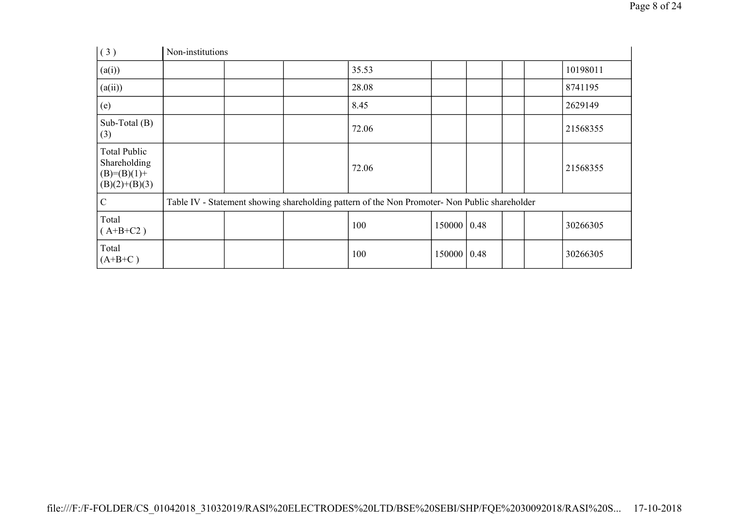| (3)                                                                       | Non-institutions |  |                                                                                               |               |                    |  |          |
|---------------------------------------------------------------------------|------------------|--|-----------------------------------------------------------------------------------------------|---------------|--------------------|--|----------|
| (a(i))                                                                    |                  |  | 35.53                                                                                         |               |                    |  | 10198011 |
| (a(ii))                                                                   |                  |  | 28.08                                                                                         |               |                    |  | 8741195  |
| (e)                                                                       |                  |  | 8.45                                                                                          |               |                    |  | 2629149  |
| Sub-Total (B)<br>(3)                                                      |                  |  | 72.06                                                                                         |               |                    |  | 21568355 |
| <b>Total Public</b><br>Shareholding<br>$(B)= (B)(1) +$<br>$(B)(2)+(B)(3)$ |                  |  | 72.06                                                                                         |               |                    |  | 21568355 |
| $\mathcal{C}$                                                             |                  |  | Table IV - Statement showing shareholding pattern of the Non Promoter- Non Public shareholder |               |                    |  |          |
| Total<br>$(A+B+C2)$                                                       |                  |  | 100                                                                                           | 150000   0.48 |                    |  | 30266305 |
| Total<br>$(A+B+C)$                                                        |                  |  | 100                                                                                           | 150000        | $\vert 0.48 \vert$ |  | 30266305 |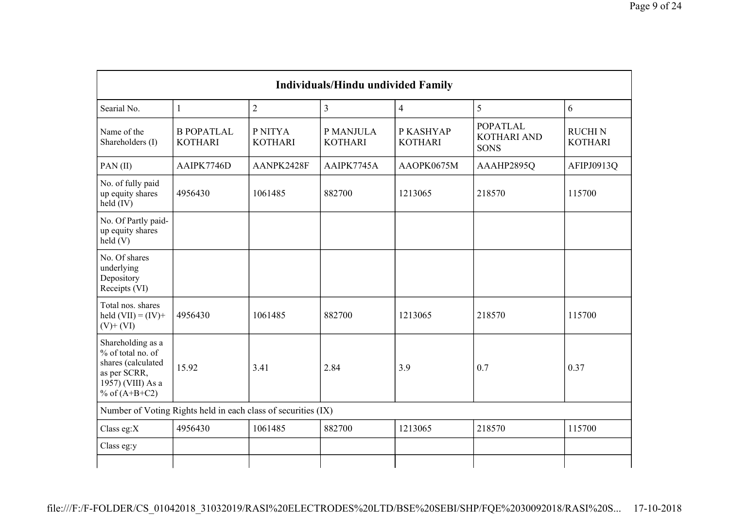| <b>Individuals/Hindu undivided Family</b>                                                                            |                                                               |                           |                             |                             |                                                      |                                  |  |  |  |  |
|----------------------------------------------------------------------------------------------------------------------|---------------------------------------------------------------|---------------------------|-----------------------------|-----------------------------|------------------------------------------------------|----------------------------------|--|--|--|--|
| Searial No.                                                                                                          | 1                                                             | $\overline{2}$            | 3                           | $\overline{4}$              | 5                                                    | 6                                |  |  |  |  |
| Name of the<br>Shareholders (I)                                                                                      | <b>B POPATLAL</b><br><b>KOTHARI</b>                           | P NITYA<br><b>KOTHARI</b> | P MANJULA<br><b>KOTHARI</b> | P KASHYAP<br><b>KOTHARI</b> | <b>POPATLAL</b><br><b>KOTHARI AND</b><br><b>SONS</b> | <b>RUCHI N</b><br><b>KOTHARI</b> |  |  |  |  |
| PAN(II)                                                                                                              | AAIPK7746D                                                    | AANPK2428F                | AAIPK7745A                  | AAOPK0675M                  | AAAHP2895Q                                           | AFIPJ0913Q                       |  |  |  |  |
| No. of fully paid<br>up equity shares<br>held (IV)                                                                   | 4956430                                                       | 1061485                   | 882700                      | 1213065                     | 218570                                               | 115700                           |  |  |  |  |
| No. Of Partly paid-<br>up equity shares<br>$\text{held}(V)$                                                          |                                                               |                           |                             |                             |                                                      |                                  |  |  |  |  |
| No. Of shares<br>underlying<br>Depository<br>Receipts (VI)                                                           |                                                               |                           |                             |                             |                                                      |                                  |  |  |  |  |
| Total nos. shares<br>held $(VII) = (IV) +$<br>$(V)$ + $(VI)$                                                         | 4956430                                                       | 1061485                   | 882700                      | 1213065                     | 218570                                               | 115700                           |  |  |  |  |
| Shareholding as a<br>% of total no. of<br>shares (calculated<br>as per SCRR,<br>1957) (VIII) As a<br>% of $(A+B+C2)$ | 15.92                                                         | 3.41                      | 2.84                        | 3.9                         | 0.7                                                  | 0.37                             |  |  |  |  |
|                                                                                                                      | Number of Voting Rights held in each class of securities (IX) |                           |                             |                             |                                                      |                                  |  |  |  |  |
| Class eg: $X$                                                                                                        | 4956430                                                       | 1061485                   | 882700                      | 1213065                     | 218570                                               | 115700                           |  |  |  |  |
| Class eg:y                                                                                                           |                                                               |                           |                             |                             |                                                      |                                  |  |  |  |  |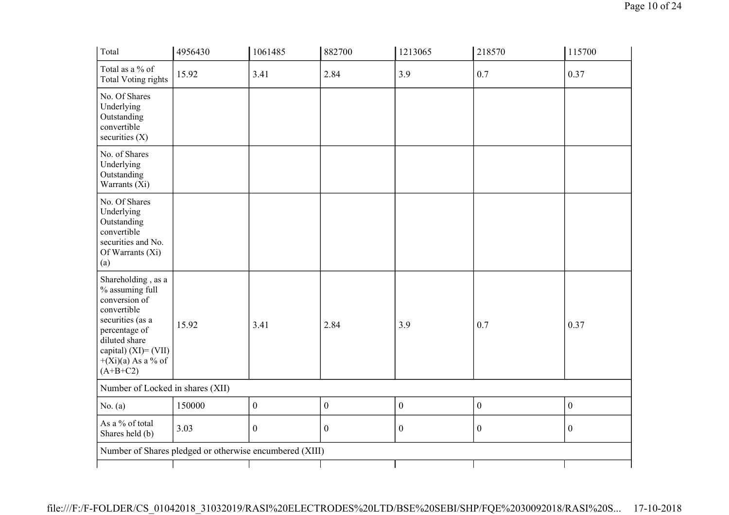| Total                                                                                                                                                                                        | 4956430                                                 | 1061485          | 882700           | 1213065          | 218570           | 115700           |
|----------------------------------------------------------------------------------------------------------------------------------------------------------------------------------------------|---------------------------------------------------------|------------------|------------------|------------------|------------------|------------------|
| Total as a % of<br><b>Total Voting rights</b>                                                                                                                                                | 15.92                                                   | 3.41             | 2.84             | 3.9              | 0.7              | 0.37             |
| No. Of Shares<br>Underlying<br>Outstanding<br>convertible<br>securities $(X)$                                                                                                                |                                                         |                  |                  |                  |                  |                  |
| No. of Shares<br>Underlying<br>Outstanding<br>Warrants (Xi)                                                                                                                                  |                                                         |                  |                  |                  |                  |                  |
| No. Of Shares<br>Underlying<br>Outstanding<br>convertible<br>securities and No.<br>Of Warrants (Xi)<br>(a)                                                                                   |                                                         |                  |                  |                  |                  |                  |
| Shareholding, as a<br>% assuming full<br>conversion of<br>convertible<br>securities (as a<br>percentage of<br>diluted share<br>capital) $(XI) = (VII)$<br>$+(Xi)(a)$ As a % of<br>$(A+B+C2)$ | 15.92                                                   | 3.41             | 2.84             | 3.9              | 0.7              | 0.37             |
| Number of Locked in shares (XII)                                                                                                                                                             |                                                         |                  |                  |                  |                  |                  |
| No. (a)                                                                                                                                                                                      | 150000                                                  | $\boldsymbol{0}$ | $\boldsymbol{0}$ | $\boldsymbol{0}$ | $\boldsymbol{0}$ | $\boldsymbol{0}$ |
| As a % of total<br>Shares held (b)                                                                                                                                                           | 3.03                                                    | $\boldsymbol{0}$ | $\boldsymbol{0}$ | $\boldsymbol{0}$ | $\boldsymbol{0}$ | $\boldsymbol{0}$ |
|                                                                                                                                                                                              | Number of Shares pledged or otherwise encumbered (XIII) |                  |                  |                  |                  |                  |
|                                                                                                                                                                                              |                                                         |                  |                  |                  |                  |                  |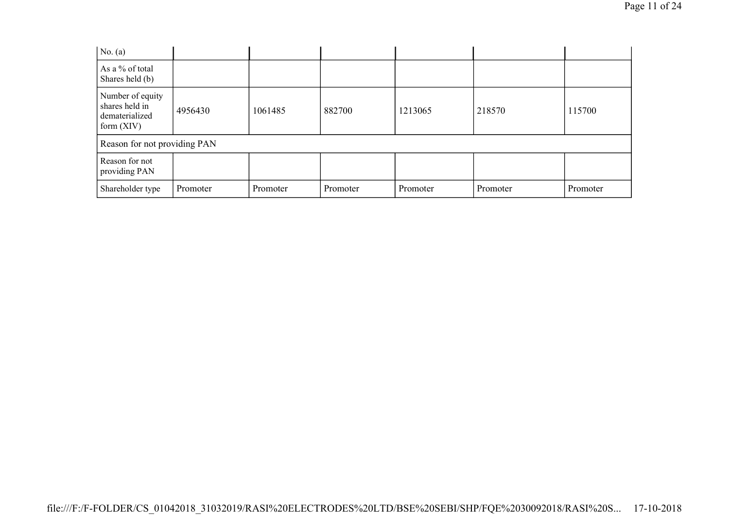| No. $(a)$                                                            |          |          |          |          |          |          |
|----------------------------------------------------------------------|----------|----------|----------|----------|----------|----------|
| As a % of total<br>Shares held (b)                                   |          |          |          |          |          |          |
| Number of equity<br>shares held in<br>dematerialized<br>form $(XIV)$ | 4956430  | 1061485  | 882700   | 1213065  | 218570   | 115700   |
| Reason for not providing PAN                                         |          |          |          |          |          |          |
| Reason for not<br>providing PAN                                      |          |          |          |          |          |          |
| Shareholder type                                                     | Promoter | Promoter | Promoter | Promoter | Promoter | Promoter |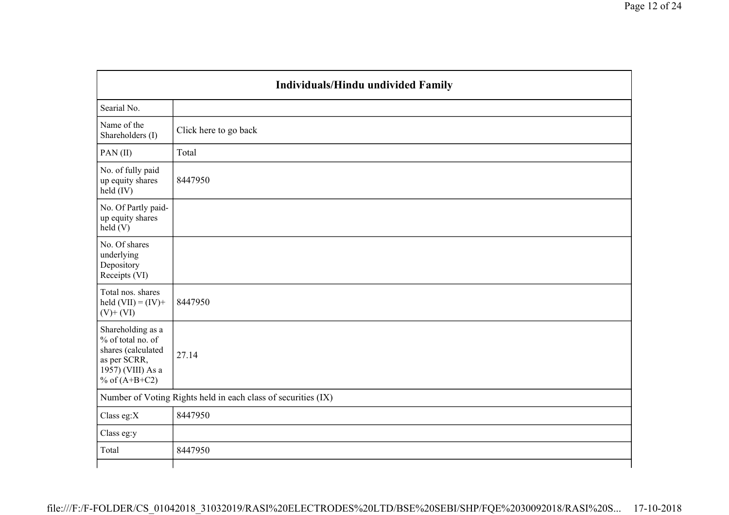| Individuals/Hindu undivided Family                                                                                   |                       |  |  |  |  |
|----------------------------------------------------------------------------------------------------------------------|-----------------------|--|--|--|--|
| Searial No.                                                                                                          |                       |  |  |  |  |
| Name of the<br>Shareholders (I)                                                                                      | Click here to go back |  |  |  |  |
| PAN(II)                                                                                                              | Total                 |  |  |  |  |
| No. of fully paid<br>up equity shares<br>held (IV)                                                                   | 8447950               |  |  |  |  |
| No. Of Partly paid-<br>up equity shares<br>held(V)                                                                   |                       |  |  |  |  |
| No. Of shares<br>underlying<br>Depository<br>Receipts (VI)                                                           |                       |  |  |  |  |
| Total nos. shares<br>held $(VII) = (IV) +$<br>$(V)$ + $(VI)$                                                         | 8447950               |  |  |  |  |
| Shareholding as a<br>% of total no. of<br>shares (calculated<br>as per SCRR,<br>1957) (VIII) As a<br>% of $(A+B+C2)$ | 27.14                 |  |  |  |  |
| Number of Voting Rights held in each class of securities (IX)                                                        |                       |  |  |  |  |
| Class eg: $X$                                                                                                        | 8447950               |  |  |  |  |
| Class eg:y                                                                                                           |                       |  |  |  |  |
| Total                                                                                                                | 8447950               |  |  |  |  |
|                                                                                                                      |                       |  |  |  |  |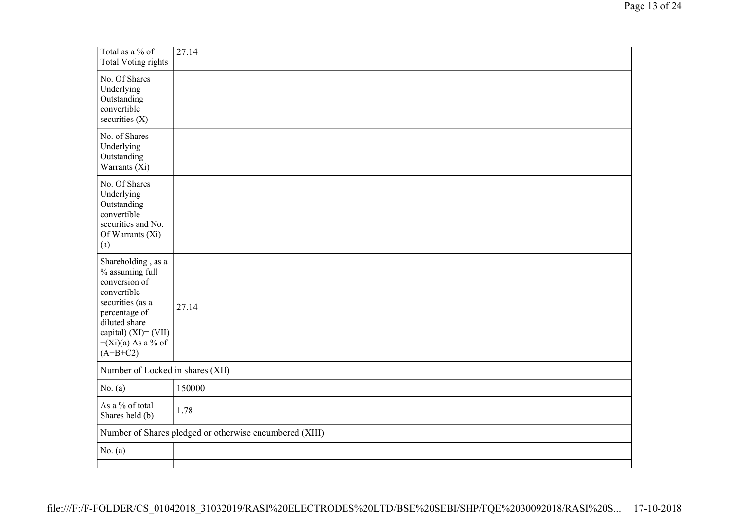| Total as a % of<br><b>Total Voting rights</b>                                                                                                                                                | 27.14                                                   |  |  |  |  |  |
|----------------------------------------------------------------------------------------------------------------------------------------------------------------------------------------------|---------------------------------------------------------|--|--|--|--|--|
| No. Of Shares<br>Underlying<br>Outstanding<br>convertible<br>securities $(X)$                                                                                                                |                                                         |  |  |  |  |  |
| No. of Shares<br>Underlying<br>Outstanding<br>Warrants (Xi)                                                                                                                                  |                                                         |  |  |  |  |  |
| No. Of Shares<br>Underlying<br>Outstanding<br>convertible<br>securities and No.<br>Of Warrants (Xi)<br>(a)                                                                                   |                                                         |  |  |  |  |  |
| Shareholding, as a<br>% assuming full<br>conversion of<br>convertible<br>securities (as a<br>percentage of<br>diluted share<br>capital) $(XI) = (VII)$<br>$+(Xi)(a)$ As a % of<br>$(A+B+C2)$ | 27.14                                                   |  |  |  |  |  |
| Number of Locked in shares (XII)                                                                                                                                                             |                                                         |  |  |  |  |  |
| No. $(a)$                                                                                                                                                                                    | 150000                                                  |  |  |  |  |  |
| As a % of total<br>Shares held (b)                                                                                                                                                           | 1.78                                                    |  |  |  |  |  |
|                                                                                                                                                                                              | Number of Shares pledged or otherwise encumbered (XIII) |  |  |  |  |  |
| No. $(a)$                                                                                                                                                                                    |                                                         |  |  |  |  |  |
|                                                                                                                                                                                              |                                                         |  |  |  |  |  |

Page 13 of 24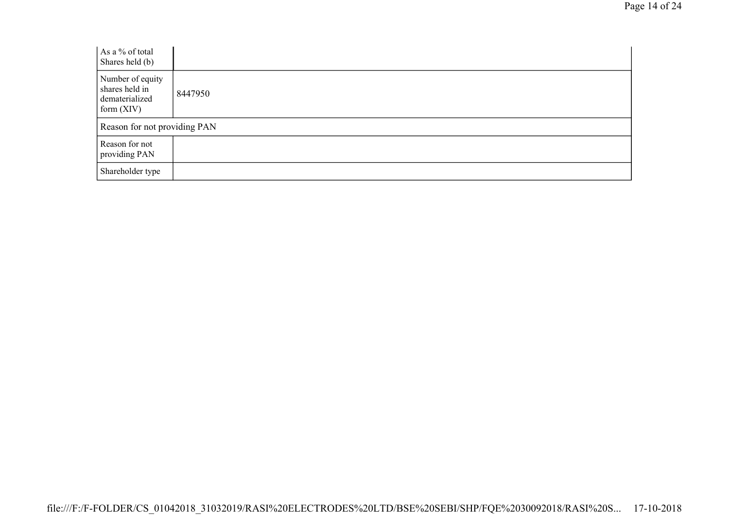| As a % of total<br>Shares held (b)                                   |         |
|----------------------------------------------------------------------|---------|
| Number of equity<br>shares held in<br>dematerialized<br>form $(XIV)$ | 8447950 |
| Reason for not providing PAN                                         |         |
| Reason for not<br>providing PAN                                      |         |
| Shareholder type                                                     |         |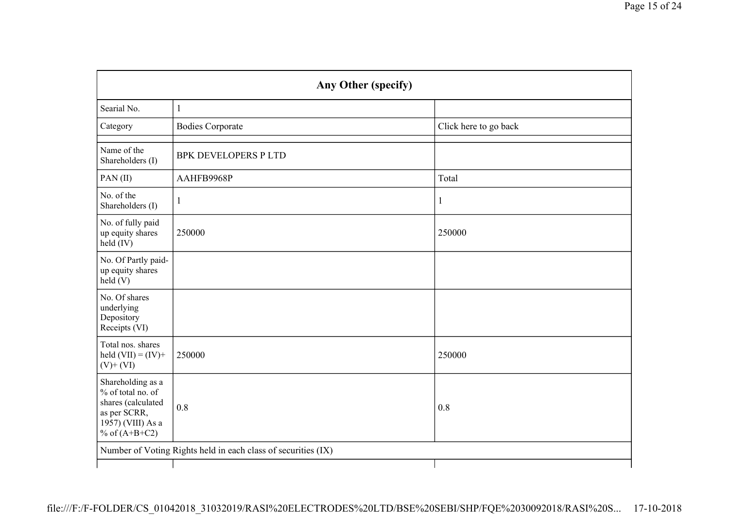|                                                                                                                      | Any Other (specify)                                           |                       |  |  |  |  |  |
|----------------------------------------------------------------------------------------------------------------------|---------------------------------------------------------------|-----------------------|--|--|--|--|--|
| Searial No.                                                                                                          | $\mathbf{1}$                                                  |                       |  |  |  |  |  |
| Category                                                                                                             | <b>Bodies Corporate</b>                                       | Click here to go back |  |  |  |  |  |
| Name of the<br>Shareholders (I)                                                                                      | <b>BPK DEVELOPERS P LTD</b>                                   |                       |  |  |  |  |  |
| PAN(II)                                                                                                              | AAHFB9968P                                                    | Total                 |  |  |  |  |  |
| No. of the<br>Shareholders (I)                                                                                       | 1                                                             | $\mathbf{1}$          |  |  |  |  |  |
| No. of fully paid<br>up equity shares<br>held (IV)                                                                   | 250000                                                        | 250000                |  |  |  |  |  |
| No. Of Partly paid-<br>up equity shares<br>held(V)                                                                   |                                                               |                       |  |  |  |  |  |
| No. Of shares<br>underlying<br>Depository<br>Receipts (VI)                                                           |                                                               |                       |  |  |  |  |  |
| Total nos. shares<br>held $(VII) = (IV) +$<br>$(V)$ + $(VI)$                                                         | 250000                                                        | 250000                |  |  |  |  |  |
| Shareholding as a<br>% of total no. of<br>shares (calculated<br>as per SCRR,<br>1957) (VIII) As a<br>% of $(A+B+C2)$ | 0.8                                                           | 0.8                   |  |  |  |  |  |
|                                                                                                                      | Number of Voting Rights held in each class of securities (IX) |                       |  |  |  |  |  |
|                                                                                                                      |                                                               |                       |  |  |  |  |  |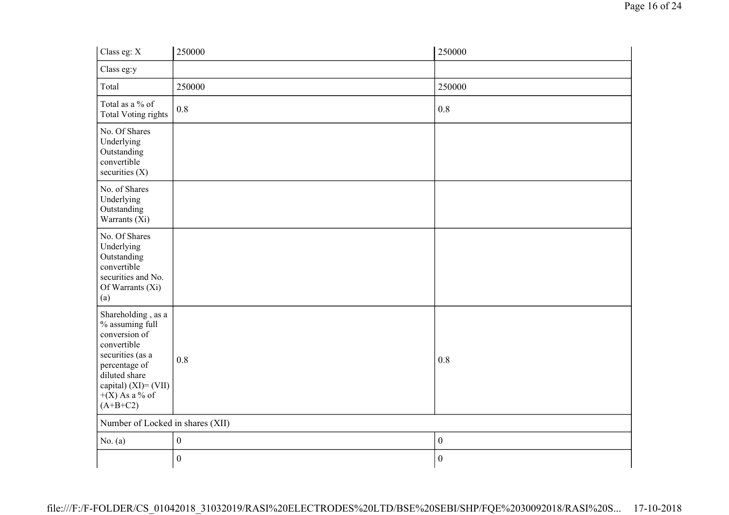| Class eg: X                                                                                                                                                                              | 250000           | 250000           |
|------------------------------------------------------------------------------------------------------------------------------------------------------------------------------------------|------------------|------------------|
| Class eg:y                                                                                                                                                                               |                  |                  |
| Total                                                                                                                                                                                    | 250000           | 250000           |
| Total as a % of<br><b>Total Voting rights</b>                                                                                                                                            | 0.8              | 0.8              |
| No. Of Shares<br>Underlying<br>Outstanding<br>convertible<br>securities $(X)$                                                                                                            |                  |                  |
| No. of Shares<br>Underlying<br>Outstanding<br>Warrants (Xi)                                                                                                                              |                  |                  |
| No. Of Shares<br>Underlying<br>Outstanding<br>convertible<br>securities and No.<br>Of Warrants (Xi)<br>(a)                                                                               |                  |                  |
| Shareholding, as a<br>% assuming full<br>conversion of<br>convertible<br>securities (as a<br>percentage of<br>diluted share<br>capital) $(XI) = (VII)$<br>$+(X)$ As a % of<br>$(A+B+C2)$ | 0.8              | 0.8              |
| Number of Locked in shares (XII)                                                                                                                                                         |                  |                  |
| No. $(a)$                                                                                                                                                                                | $\boldsymbol{0}$ | $\mathbf{0}$     |
|                                                                                                                                                                                          | $\boldsymbol{0}$ | $\boldsymbol{0}$ |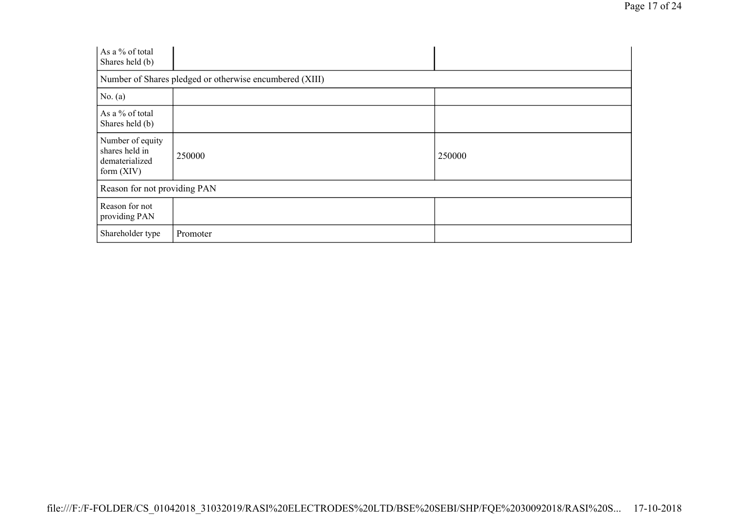| As a % of total<br>Shares held (b)                                   |                                                         |        |
|----------------------------------------------------------------------|---------------------------------------------------------|--------|
|                                                                      | Number of Shares pledged or otherwise encumbered (XIII) |        |
| No. $(a)$                                                            |                                                         |        |
| As a % of total<br>Shares held (b)                                   |                                                         |        |
| Number of equity<br>shares held in<br>dematerialized<br>form $(XIV)$ | 250000                                                  | 250000 |
| Reason for not providing PAN                                         |                                                         |        |
| Reason for not<br>providing PAN                                      |                                                         |        |
| Shareholder type                                                     | Promoter                                                |        |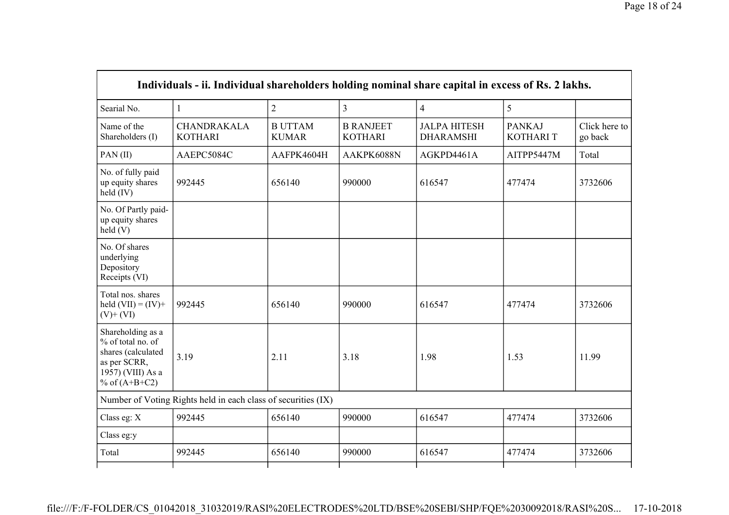|                                                                                                                      | Individuals - ii. Individual shareholders holding nominal share capital in excess of Rs. 2 lakhs. |                                |                                    |                                         |                                  |                          |
|----------------------------------------------------------------------------------------------------------------------|---------------------------------------------------------------------------------------------------|--------------------------------|------------------------------------|-----------------------------------------|----------------------------------|--------------------------|
| Searial No.                                                                                                          | $\mathbf{1}$                                                                                      | $\overline{2}$                 | $\overline{3}$                     | $\overline{4}$                          | 5                                |                          |
| Name of the<br>Shareholders (I)                                                                                      | <b>CHANDRAKALA</b><br><b>KOTHARI</b>                                                              | <b>B UTTAM</b><br><b>KUMAR</b> | <b>B RANJEET</b><br><b>KOTHARI</b> | <b>JALPA HITESH</b><br><b>DHARAMSHI</b> | <b>PANKAJ</b><br><b>KOTHARIT</b> | Click here to<br>go back |
| PAN(II)                                                                                                              | AAEPC5084C                                                                                        | AAFPK4604H                     | AAKPK6088N                         | AGKPD4461A                              | AITPP5447M                       | Total                    |
| No. of fully paid<br>up equity shares<br>held (IV)                                                                   | 992445                                                                                            | 656140                         | 990000                             | 616547                                  | 477474                           | 3732606                  |
| No. Of Partly paid-<br>up equity shares<br>held (V)                                                                  |                                                                                                   |                                |                                    |                                         |                                  |                          |
| No. Of shares<br>underlying<br>Depository<br>Receipts (VI)                                                           |                                                                                                   |                                |                                    |                                         |                                  |                          |
| Total nos. shares<br>held $(VII) = (IV) +$<br>$(V)$ + $(VI)$                                                         | 992445                                                                                            | 656140                         | 990000                             | 616547                                  | 477474                           | 3732606                  |
| Shareholding as a<br>% of total no. of<br>shares (calculated<br>as per SCRR,<br>1957) (VIII) As a<br>% of $(A+B+C2)$ | 3.19                                                                                              | 2.11                           | 3.18                               | 1.98                                    | 1.53                             | 11.99                    |
|                                                                                                                      | Number of Voting Rights held in each class of securities (IX)                                     |                                |                                    |                                         |                                  |                          |
| Class eg: X                                                                                                          | 992445                                                                                            | 656140                         | 990000                             | 616547                                  | 477474                           | 3732606                  |
| Class eg:y                                                                                                           |                                                                                                   |                                |                                    |                                         |                                  |                          |
| Total                                                                                                                | 992445                                                                                            | 656140                         | 990000                             | 616547                                  | 477474                           | 3732606                  |
|                                                                                                                      |                                                                                                   |                                |                                    |                                         |                                  |                          |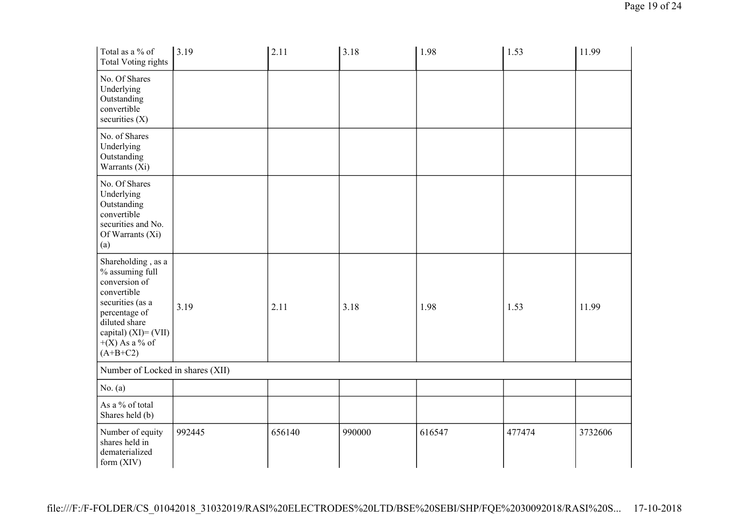| Total as a % of<br><b>Total Voting rights</b>                                                                                                                                            | 3.19   | 2.11   | 3.18   | 1.98   | 1.53   | 11.99   |
|------------------------------------------------------------------------------------------------------------------------------------------------------------------------------------------|--------|--------|--------|--------|--------|---------|
| No. Of Shares<br>Underlying<br>Outstanding<br>convertible<br>securities $(X)$                                                                                                            |        |        |        |        |        |         |
| No. of Shares<br>Underlying<br>Outstanding<br>Warrants (Xi)                                                                                                                              |        |        |        |        |        |         |
| No. Of Shares<br>Underlying<br>Outstanding<br>convertible<br>securities and No.<br>Of Warrants (Xi)<br>(a)                                                                               |        |        |        |        |        |         |
| Shareholding, as a<br>% assuming full<br>conversion of<br>convertible<br>securities (as a<br>percentage of<br>diluted share<br>capital) $(XI) = (VII)$<br>$+(X)$ As a % of<br>$(A+B+C2)$ | 3.19   | 2.11   | 3.18   | 1.98   | 1.53   | 11.99   |
| Number of Locked in shares (XII)                                                                                                                                                         |        |        |        |        |        |         |
| No. (a)                                                                                                                                                                                  |        |        |        |        |        |         |
| As a % of total<br>Shares held (b)                                                                                                                                                       |        |        |        |        |        |         |
| Number of equity<br>shares held in<br>dematerialized<br>form (XIV)                                                                                                                       | 992445 | 656140 | 990000 | 616547 | 477474 | 3732606 |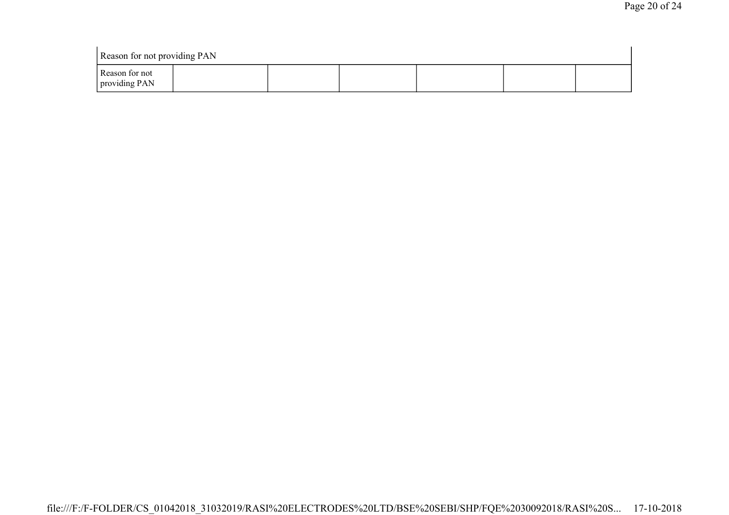| Reason for not providing PAN    |  |  |  |  |  |  |
|---------------------------------|--|--|--|--|--|--|
| Reason for not<br>providing PAN |  |  |  |  |  |  |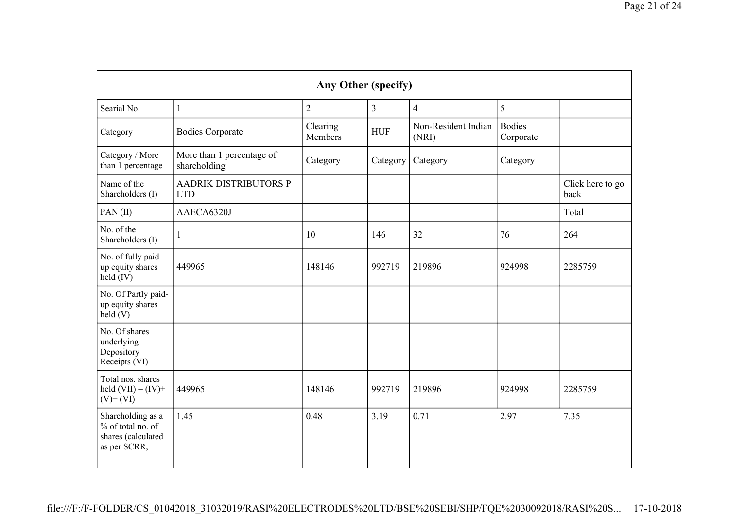| Any Other (specify)                                                          |                                            |                     |                |                              |                            |                          |  |
|------------------------------------------------------------------------------|--------------------------------------------|---------------------|----------------|------------------------------|----------------------------|--------------------------|--|
| Searial No.                                                                  | $\mathbf{1}$                               | $\overline{2}$      | $\overline{3}$ | $\overline{4}$               | 5                          |                          |  |
| Category                                                                     | <b>Bodies Corporate</b>                    | Clearing<br>Members | <b>HUF</b>     | Non-Resident Indian<br>(NRI) | <b>Bodies</b><br>Corporate |                          |  |
| Category / More<br>than 1 percentage                                         | More than 1 percentage of<br>shareholding  | Category            | Category       | Category                     | Category                   |                          |  |
| Name of the<br>Shareholders (I)                                              | <b>AADRIK DISTRIBUTORS P</b><br><b>LTD</b> |                     |                |                              |                            | Click here to go<br>back |  |
| PAN(II)                                                                      | AAECA6320J                                 |                     |                |                              |                            | Total                    |  |
| No. of the<br>Shareholders (I)                                               |                                            | 10                  | 146            | 32                           | 76                         | 264                      |  |
| No. of fully paid<br>up equity shares<br>held (IV)                           | 449965                                     | 148146              | 992719         | 219896                       | 924998                     | 2285759                  |  |
| No. Of Partly paid-<br>up equity shares<br>held(V)                           |                                            |                     |                |                              |                            |                          |  |
| No. Of shares<br>underlying<br>Depository<br>Receipts (VI)                   |                                            |                     |                |                              |                            |                          |  |
| Total nos. shares<br>held $(VII) = (IV) +$<br>$(V)$ + $(VI)$                 | 449965                                     | 148146              | 992719         | 219896                       | 924998                     | 2285759                  |  |
| Shareholding as a<br>% of total no. of<br>shares (calculated<br>as per SCRR, | 1.45                                       | 0.48                | 3.19           | 0.71                         | 2.97                       | 7.35                     |  |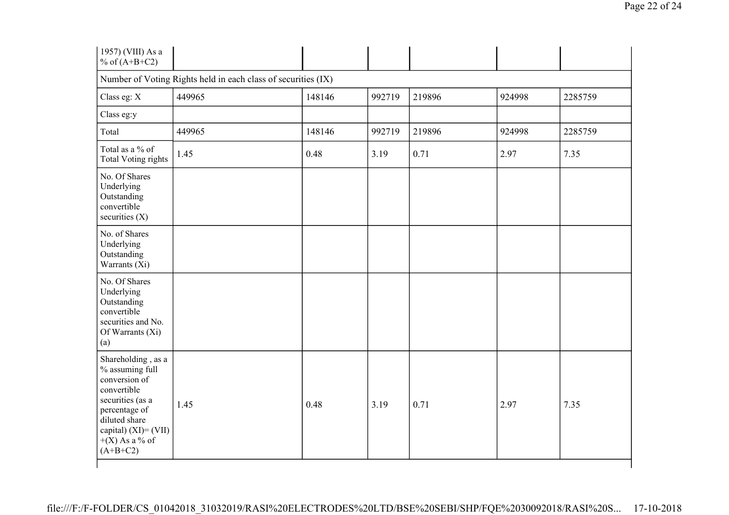| 1957) (VIII) As a<br>% of $(A+B+C2)$                                                                                                                                                     |        |        |        |        |        |         |  |
|------------------------------------------------------------------------------------------------------------------------------------------------------------------------------------------|--------|--------|--------|--------|--------|---------|--|
| Number of Voting Rights held in each class of securities (IX)                                                                                                                            |        |        |        |        |        |         |  |
| Class eg: X                                                                                                                                                                              | 449965 | 148146 | 992719 | 219896 | 924998 | 2285759 |  |
| Class eg:y                                                                                                                                                                               |        |        |        |        |        |         |  |
| Total                                                                                                                                                                                    | 449965 | 148146 | 992719 | 219896 | 924998 | 2285759 |  |
| Total as a % of<br><b>Total Voting rights</b>                                                                                                                                            | 1.45   | 0.48   | 3.19   | 0.71   | 2.97   | 7.35    |  |
| No. Of Shares<br>Underlying<br>Outstanding<br>convertible<br>securities $(X)$                                                                                                            |        |        |        |        |        |         |  |
| No. of Shares<br>Underlying<br>Outstanding<br>Warrants (Xi)                                                                                                                              |        |        |        |        |        |         |  |
| No. Of Shares<br>Underlying<br>Outstanding<br>convertible<br>securities and No.<br>Of Warrants (Xi)<br>(a)                                                                               |        |        |        |        |        |         |  |
| Shareholding, as a<br>% assuming full<br>conversion of<br>convertible<br>securities (as a<br>percentage of<br>diluted share<br>capital) $(XI) = (VII)$<br>$+(X)$ As a % of<br>$(A+B+C2)$ | 1.45   | 0.48   | 3.19   | 0.71   | 2.97   | 7.35    |  |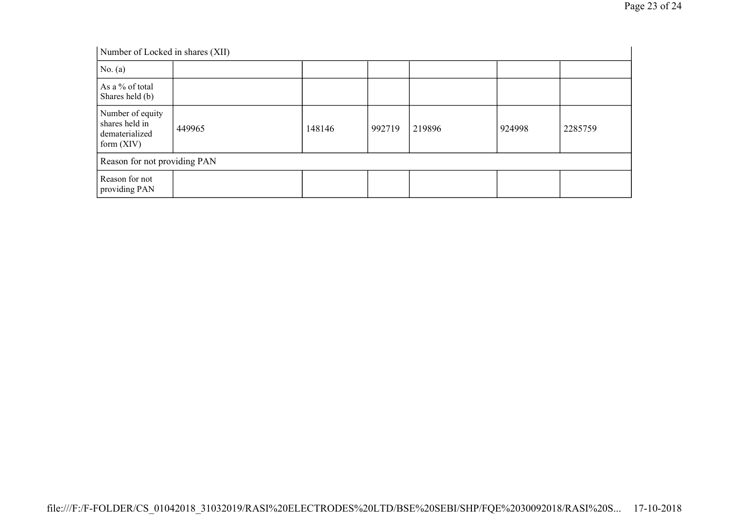| Number of Locked in shares (XII)                                     |        |        |        |        |        |         |
|----------------------------------------------------------------------|--------|--------|--------|--------|--------|---------|
| No. (a)                                                              |        |        |        |        |        |         |
| As a % of total<br>Shares held (b)                                   |        |        |        |        |        |         |
| Number of equity<br>shares held in<br>dematerialized<br>form $(XIV)$ | 449965 | 148146 | 992719 | 219896 | 924998 | 2285759 |
| Reason for not providing PAN                                         |        |        |        |        |        |         |
| Reason for not<br>providing PAN                                      |        |        |        |        |        |         |